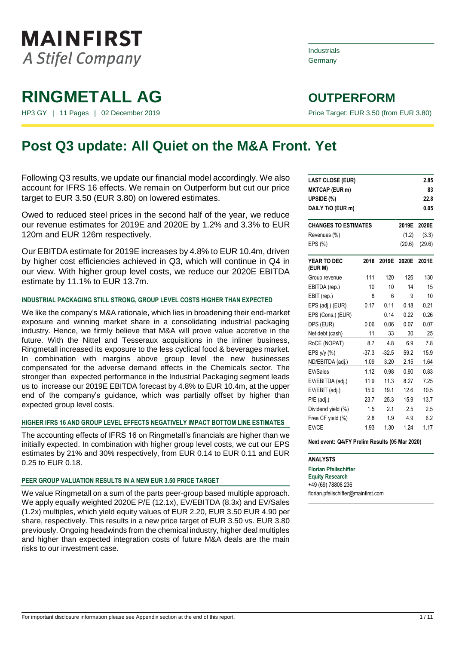

HP3 GY | 11 Pages | 02 December 2019 | November 2019 | Price Target: EUR 3.50 (from EUR 3.80)

## Industrials **Germany**

## **Post Q3 update: All Quiet on the M&A Front. Yet**

Following Q3 results, we update our financial model accordingly. We also account for IFRS 16 effects. We remain on Outperform but cut our price target to EUR 3.50 (EUR 3.80) on lowered estimates.

Owed to reduced steel prices in the second half of the year, we reduce our revenue estimates for 2019E and 2020E by 1.2% and 3.3% to EUR 120m and EUR 126m respectively.

Our EBITDA estimate for 2019E increases by 4.8% to EUR 10.4m, driven by higher cost efficiencies achieved in Q3, which will continue in Q4 in our view. With higher group level costs, we reduce our 2020E EBITDA estimate by 11.1% to EUR 13.7m.

## **INDUSTRIAL PACKAGING STILL STRONG, GROUP LEVEL COSTS HIGHER THAN EXPECTED**

We like the company's M&A rationale, which lies in broadening their end-market exposure and winning market share in a consolidating industrial packaging industry. Hence, we firmly believe that M&A will prove value accretive in the future. With the Nittel and Tesseraux acquisitions in the inliner business, Ringmetall increased its exposure to the less cyclical food & beverages market. In combination with margins above group level the new businesses compensated for the adverse demand effects in the Chemicals sector. The stronger than expected performance in the Industrial Packaging segment leads us to increase our 2019E EBITDA forecast by 4.8% to EUR 10.4m, at the upper end of the company's guidance, which was partially offset by higher than expected group level costs.

## **HIGHER IFRS 16 AND GROUP LEVEL EFFECTS NEGATIVELY IMPACT BOTTOM LINE ESTIMATES**

The accounting effects of IFRS 16 on Ringmetall's financials are higher than we initially expected. In combination with higher group level costs, we cut our EPS estimates by 21% and 30% respectively, from EUR 0.14 to EUR 0.11 and EUR 0.25 to EUR 0.18.

### **PEER GROUP VALUATION RESULTS IN A NEW EUR 3.50 PRICE TARGET**

We value Ringmetall on a sum of the parts peer-group based multiple approach. We apply equally weighted 2020E P/E (12.1x), EV/EBITDA (8.3x) and EV/Sales (1.2x) multiples, which yield equity values of EUR 2.20, EUR 3.50 EUR 4.90 per share, respectively. This results in a new price target of EUR 3.50 vs. EUR 3.80 previously. Ongoing headwinds from the chemical industry, higher deal multiples and higher than expected integration costs of future M&A deals are the main risks to our investment case.

| <b>LAST CLOSE (EUR)</b> |                                               |         |        | 2.85   |  |  |  |  |  |
|-------------------------|-----------------------------------------------|---------|--------|--------|--|--|--|--|--|
| <b>MKTCAP (EUR m)</b>   |                                               |         |        | 83     |  |  |  |  |  |
| UPSIDE (%)              |                                               |         |        | 22.8   |  |  |  |  |  |
| DAILY T/O (EUR m)       |                                               |         |        | 0.05   |  |  |  |  |  |
|                         | <b>CHANGES TO ESTIMATES</b><br>2019E<br>2020E |         |        |        |  |  |  |  |  |
| Revenues (%)            |                                               |         | (1.2)  | (3.3)  |  |  |  |  |  |
| EPS (%)                 |                                               |         | (20.6) | (29.6) |  |  |  |  |  |
| YEAR TO DEC<br>(EUR M)  | 2018                                          | 2019E   | 2020E  | 2021E  |  |  |  |  |  |
| Group revenue           | 111                                           | 120     | 126    | 130    |  |  |  |  |  |
| EBITDA (rep.)           | 10                                            | 10      | 14     | 15     |  |  |  |  |  |
| EBIT (rep.)             | 8                                             | 6       | 9      | 10     |  |  |  |  |  |
| EPS (adj.) (EUR)        | 0.17                                          | 0.11    | 0.18   | 0.21   |  |  |  |  |  |
| EPS (Cons.) (EUR)       |                                               | 0.14    | 0.22   | 0.26   |  |  |  |  |  |
| DPS (EUR)               | 0.06                                          | 0.06    | 0.07   | 0.07   |  |  |  |  |  |
| Net debt (cash)         | 11                                            | 33      | 30     | 25     |  |  |  |  |  |
| RoCE (NOPAT)            | 8.7                                           | 48      | 6.9    | 7.8    |  |  |  |  |  |
| EPS $y/y$ $(\%)$        | $-37.3$                                       | $-32.5$ | 59.2   | 15.9   |  |  |  |  |  |
| ND/EBITDA (adj.)        | 1.09                                          | 3.20    | 2.15   | 1.64   |  |  |  |  |  |
| <b>EV/Sales</b>         | 1.12                                          | 0.98    | 0.90   | 0.83   |  |  |  |  |  |
| EV/EBITDA (adj.)        | 11.9                                          | 11.3    | 8.27   | 7.25   |  |  |  |  |  |
| EV/EBIT (adj.)          | 15.0                                          | 19.1    | 12.6   | 10.5   |  |  |  |  |  |
| $P/E$ (adj.)            | 23.7                                          | 25.3    | 15.9   | 13.7   |  |  |  |  |  |
| Dividend yield (%)      | 1.5                                           | 2.1     | 2.5    | 2.5    |  |  |  |  |  |
| Free CF yield (%)       | 2.8                                           | 1.9     | 4.9    | 6.2    |  |  |  |  |  |
| EV/CE                   | 1.93                                          | 1.30    | 1.24   | 1.17   |  |  |  |  |  |

#### **Next event: Q4/FY Prelim Results (05 Mar 2020)**

**ANALYSTS**

**Florian Pfeilschifter Equity Research** +49 (69) 78808 236 florian.pfeilschifter@mainfirst.com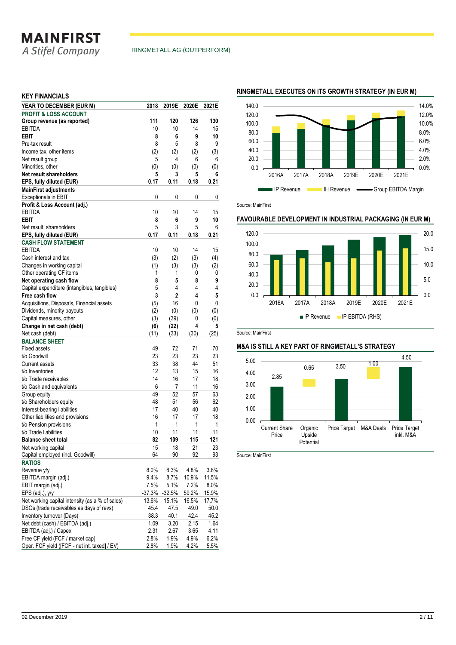## **MAINFIRST**

A Stifel Company

## **KEY FINANCIALS**

| YEAR TO DECEMBER (EUR M)                        | 2018     | 2019E        | 2020E | 2021E   |
|-------------------------------------------------|----------|--------------|-------|---------|
| <b>PROFIT &amp; LOSS ACCOUNT</b>                |          |              |       |         |
| Group revenue (as reported)                     | 111      | 120          | 126   | 130     |
| <b>EBITDA</b>                                   | 10       | 10           | 14    | 15      |
| <b>EBIT</b>                                     | 8        | 6            | 9     | 10      |
| Pre-tax result                                  | 8        | 5            | 8     | 9       |
| Income tax, other items                         | (2)      | (2)          | (2)   | (3)     |
| Net result group                                | 5        | 4            | 6     | 6       |
| Minorities, other                               | (0)      | (0)          | (0)   | (0)     |
| Net result shareholders                         | 5        | 3            | 5     | 6       |
| EPS, fully diluted (EUR)                        | 0.17     | 0.11         | 0.18  | 0.21    |
| <b>MainFirst adjustments</b>                    |          |              |       |         |
| <b>Exceptionals in EBIT</b>                     | 0        | 0            | 0     | 0       |
| Profit & Loss Account (adj.)                    |          |              |       |         |
| <b>EBITDA</b>                                   | 10       | 10           | 14    | 15      |
| <b>EBIT</b>                                     | 8        | 6            | 9     | 10      |
| Net result, shareholders                        | 5        | 3            | 5     | 6       |
| EPS, fully diluted (EUR)                        | 0.17     | 0.11         | 0.18  | 0.21    |
| <b>CASH FLOW STATEMENT</b>                      |          |              |       |         |
| <b>EBITDA</b>                                   | 10       | 10           | 14    | 15      |
| Cash interest and tax                           | (3)      | (2)          | (3)   | (4)     |
| Changes in working capital                      | (1)      | (3)          | (3)   | (2)     |
| Other operating CF items                        | 1        | 1            | 0     | 0       |
|                                                 | 8        | 5            | 8     | 9       |
| Net operating cash flow                         |          | 4            | 4     |         |
| Capital expenditure (intangibles, tangibles)    | 5<br>3   |              |       | 4       |
| Free cash flow                                  |          | $\mathbf{2}$ | 4     | 5       |
| Acquisitions, Disposals, Financial assets       | (5)      | 16           | 0     | 0       |
| Dividends, minority payouts                     | (2)      | (0)          | (0)   | (0)     |
| Capital measures, other                         | (3)      | (39)         | 0     | (0)     |
| Change in net cash (debt)                       | (6)      | (22)         | 4     | 5       |
| Net cash (debt)                                 | (11)     | (33)         | (30)  | (25)    |
| <b>BALANCE SHEET</b>                            |          |              |       |         |
| <b>Fixed assets</b>                             | 49       | 72           | 71    | 70      |
| t/o Goodwill                                    | 23       | 23           | 23    | 23      |
| <b>Current assets</b>                           | 33       | 38           | 44    | 51      |
| t/o Inventories                                 | 12       | 13           | 15    | 16      |
| t/o Trade receivables                           | 14       | 16           | 17    | 18      |
| t/o Cash and equivalents                        | 6        | 7            | 11    | 16      |
| Group equity                                    | 49       | 52           | 57    | 63      |
| t/o Shareholders equity                         | 48       | 51           | 56    | 62      |
| Interest-bearing liabilities                    | 17       | 40           | 40    | 40      |
| Other liabilities and provisions                | 16       | 17           | 17    | 18      |
| t/o Pension provisions                          | 1        | 1            | 1     | 1       |
| t/o Trade liabilities                           | 10       | 11           | 11    | 11      |
| <b>Balance sheet total</b>                      | 82       | 109          | 115   | 121     |
| Net working capital                             | 15       | 18           | 21    | 23      |
| Capital employed (incl. Goodwill)               | 64       | 90           | 92    | 93      |
| <b>RATIOS</b>                                   |          |              |       |         |
| Revenue y/y                                     | 8.0%     | 8.3%         | 4.8%  | 3.8%    |
| EBITDA margin (adj.)                            | 9.4%     | 8.7%         | 10.9% | 11.5%   |
| EBIT margin (adj.)                              | 7.5%     | 5.1%         | 7.2%  | $8.0\%$ |
| EPS (adj.), y/y                                 | $-37.3%$ | $-32.5%$     | 59.2% | 15.9%   |
| Net working capital intensity (as a % of sales) | 13.6%    | 15.1%        | 16.5% | 17.7%   |
| DSOs (trade receivables as days of revs)        | 45.4     | 47.5         | 49.0  | 50.0    |
| Inventory turnover (Days)                       | 38.3     | 40.1         | 42.4  | 45.2    |
| Net debt (cash) / EBITDA (adi.)                 | 1.09     | 3.20         | 2.15  | 1.64    |
| EBITDA (adj.) / Capex                           | 2.31     | 2.67         | 3.65  | 4.11    |
| Free CF yield (FCF / market cap)                | 2.8%     | 1.9%         | 4.9%  | 6.2%    |
| Oper. FCF yield ([FCF - net int. taxed] / EV)   | 2.8%     | 1.9%         | 4.2%  | 5.5%    |
|                                                 |          |              |       |         |

### **RINGMETALL EXECUTES ON ITS GROWTH STRATEGY (IN EUR M)**



Source: MainFirst

## **FAVOURABLE DEVELOPMENT IN INDUSTRIAL PACKAGING (IN EUR M)**



Source: MainFirst

### **M&A IS STILL A KEY PART OF RINGMETALL'S STRATEGY**



Source: MainFirst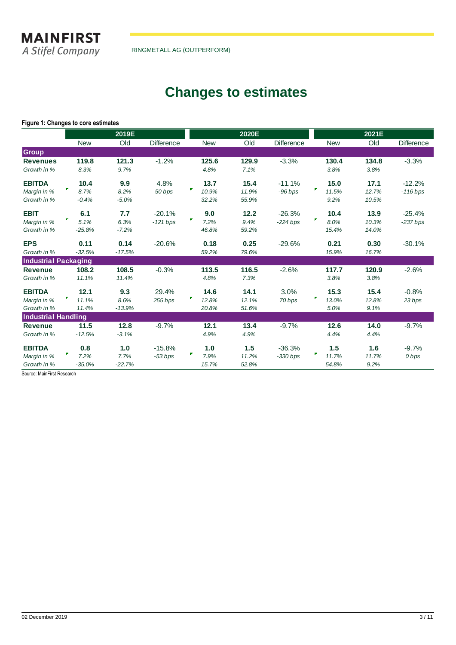**MAINFIRST** A Stifel Company

RINGMETALL AG (OUTPERFORM)

## **Changes to estimates**

## **Figure 1: Changes to core estimates**

|                             |            | 2019E    |            |            | 2020E |                   |            | 2021E |            |
|-----------------------------|------------|----------|------------|------------|-------|-------------------|------------|-------|------------|
|                             | <b>New</b> | Old      | Difference | <b>New</b> | Old   | <b>Difference</b> | <b>New</b> | Old   | Difference |
| <b>Group</b>                |            |          |            |            |       |                   |            |       |            |
| <b>Revenues</b>             | 119.8      | 121.3    | $-1.2%$    | 125.6      | 129.9 | $-3.3%$           | 130.4      | 134.8 | $-3.3%$    |
| Growth in %                 | 8.3%       | 9.7%     |            | 4.8%       | 7.1%  |                   | 3.8%       | 3.8%  |            |
| <b>EBITDA</b>               | 10.4       | 9.9      | 4.8%       | 13.7       | 15.4  | $-11.1%$          | 15.0       | 17.1  | $-12.2%$   |
| Margin in %                 | ₹<br>8.7%  | 8.2%     | 50 bps     | F<br>10.9% | 11.9% | $-96$ bps         | Г<br>11.5% | 12.7% | $-116$ bps |
| Growth in %                 | $-0.4%$    | $-5.0%$  |            | 32.2%      | 55.9% |                   | 9.2%       | 10.5% |            |
| <b>EBIT</b>                 | 6.1        | 7.7      | $-20.1%$   | 9.0        | 12.2  | $-26.3%$          | 10.4       | 13.9  | $-25.4%$   |
| Margin in %                 | 5.1%       | 6.3%     | $-121$ bps | г<br>7.2%  | 9.4%  | $-224$ bps        | Г<br>8.0%  | 10.3% | $-237$ bps |
| Growth in %                 | $-25.8%$   | $-7.2%$  |            | 46.8%      | 59.2% |                   | 15.4%      | 14.0% |            |
| <b>EPS</b>                  | 0.11       | 0.14     | $-20.6%$   | 0.18       | 0.25  | $-29.6%$          | 0.21       | 0.30  | $-30.1%$   |
| Growth in %                 | $-32.5%$   | $-17.5%$ |            | 59.2%      | 79.6% |                   | 15.9%      | 16.7% |            |
| <b>Industrial Packaging</b> |            |          |            |            |       |                   |            |       |            |
| <b>Revenue</b>              | 108.2      | 108.5    | $-0.3%$    | 113.5      | 116.5 | $-2.6%$           | 117.7      | 120.9 | $-2.6%$    |
| Growth in %                 | 11.1%      | 11.4%    |            | 4.8%       | 7.3%  |                   | 3.8%       | 3.8%  |            |
| <b>EBITDA</b>               | 12.1       | 9.3      | 29.4%      | 14.6       | 14.1  | 3.0%              | 15.3       | 15.4  | $-0.8%$    |
| Margin in %                 | 11.1%      | 8.6%     | 255 bps    | г<br>12.8% | 12.1% | 70 bps            | Γ<br>13.0% | 12.8% | 23 bps     |
| Growth in %                 | 11.4%      | $-13.9%$ |            | 20.8%      | 51.6% |                   | 5.0%       | 9.1%  |            |
| <b>Industrial Handling</b>  |            |          |            |            |       |                   |            |       |            |
| <b>Revenue</b>              | 11.5       | 12.8     | $-9.7%$    | 12.1       | 13.4  | $-9.7%$           | 12.6       | 14.0  | $-9.7%$    |
| Growth in %                 | $-12.5%$   | $-3.1%$  |            | 4.9%       | 4.9%  |                   | 4.4%       | 4.4%  |            |
| <b>EBITDA</b>               | 0.8        | 1.0      | $-15.8%$   | 1.0        | 1.5   | $-36.3%$          | 1.5        | 1.6   | $-9.7%$    |
| Margin in %                 | 7.2%       | 7.7%     | $-53 bps$  | 7.9%       | 11.2% | $-330 bps$        | 11.7%      | 11.7% | 0 bps      |
| Growth in %                 | $-35.0%$   | $-22.7%$ |            | 15.7%      | 52.8% |                   | 54.8%      | 9.2%  |            |

Source: MainFirst Research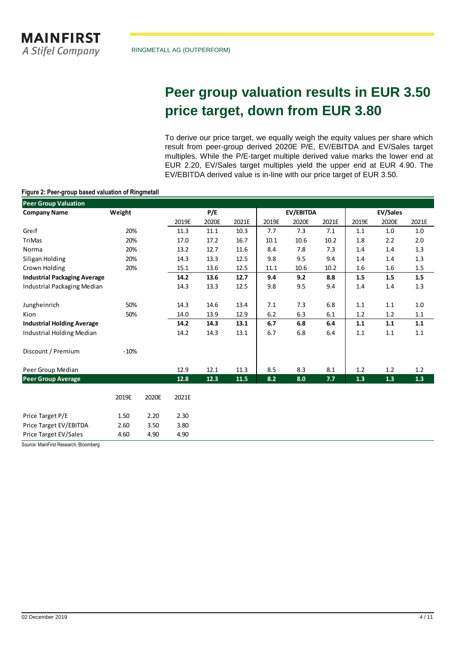## **Peer group valuation results in EUR 3.50 price target, down from EUR 3.80**

To derive our price target, we equally weigh the equity values per share which result from peer-group derived 2020E P/E, EV/EBITDA and EV/Sales target multiples. While the P/E-target multiple derived value marks the lower end at EUR 2.20, EV/Sales target multiples yield the upper end at EUR 4.90. The EV/EBITDA derived value is in-line with our price target of EUR 3.50.

## **Figure 2: Peer-group based valuation of Ringmetall**

| <b>Peer Group Valuation</b>         |        |       |       |       |       |                  |       |         |                 |         |         |
|-------------------------------------|--------|-------|-------|-------|-------|------------------|-------|---------|-----------------|---------|---------|
| <b>Company Name</b>                 | Weight |       |       | P/E   |       | <b>EV/EBITDA</b> |       |         | <b>EV/Sales</b> |         |         |
|                                     |        |       | 2019E | 2020E | 2021E | 2019E            | 2020E | 2021E   | 2019E           | 2020E   | 2021E   |
| Greif                               | 20%    |       | 11.3  | 11.1  | 10.3  | 7.7              | 7.3   | 7.1     | 1.1             | 1.0     | 1.0     |
| <b>TriMas</b>                       | 20%    |       | 17.0  | 17.2  | 16.7  | 10.1             | 10.6  | 10.2    | 1.8             | 2.2     | $2.0\,$ |
| Norma                               | 20%    |       | 13.2  | 12.7  | 11.6  | 8.4              | 7.8   | 7.3     | 1.4             | 1.4     | $1.3\,$ |
| Siligan Holding                     | 20%    |       | 14.3  | 13.3  | 12.5  | 9.8              | 9.5   | 9.4     | 1.4             | 1.4     | $1.3\,$ |
| Crown Holding                       | 20%    |       | 15.1  | 13.6  | 12.5  | 11.1             | 10.6  | 10.2    | 1.6             | 1.6     | $1.5\,$ |
| <b>Industrial Packaging Average</b> |        |       | 14.2  | 13.6  | 12.7  | 9.4              | 9.2   | 8.8     | 1.5             | 1.5     | 1.5     |
| Industrial Packaging Median         |        |       | 14.3  | 13.3  | 12.5  | 9.8              | 9.5   | 9.4     | 1.4             | 1.4     | 1.3     |
| Jungheinrich                        | 50%    |       | 14.3  | 14.6  | 13.4  | 7.1              | 7.3   | 6.8     | 1.1             | 1.1     | $1.0\,$ |
| Kion                                | 50%    |       | 14.0  | 13.9  | 12.9  | $6.2\,$          | 6.3   | $6.1\,$ | 1.2             | $1.2\,$ | $1.1\,$ |
| <b>Industrial Holding Average</b>   |        |       | 14.2  | 14.3  | 13.1  | 6.7              | 6.8   | 6.4     | 1.1             | 1.1     | 1.1     |
| Industrial Holding Median           |        |       | 14.2  | 14.3  | 13.1  | 6.7              | 6.8   | 6.4     | 1.1             | 1.1     | $1.1\,$ |
| Discount / Premium                  | $-10%$ |       |       |       |       |                  |       |         |                 |         |         |
| Peer Group Median                   |        |       | 12.9  | 12.1  | 11.3  | 8.5              | 8.3   | 8.1     | 1.2             | 1.2     | 1.2     |
| <b>Peer Group Average</b>           |        |       | 12.8  | 12.3  | 11.5  | 8.2              | 8.0   | 7.7     | 1.3             | 1.3     | $1.3\,$ |
|                                     | 2019E  | 2020E | 2021E |       |       |                  |       |         |                 |         |         |
| Price Target P/E                    | 1.50   | 2.20  | 2.30  |       |       |                  |       |         |                 |         |         |
| Price Target EV/EBITDA              | 2.60   | 3.50  | 3.80  |       |       |                  |       |         |                 |         |         |
| Price Target EV/Sales               | 4.60   | 4.90  | 4.90  |       |       |                  |       |         |                 |         |         |

Source: MainFirst Research, Bloomberg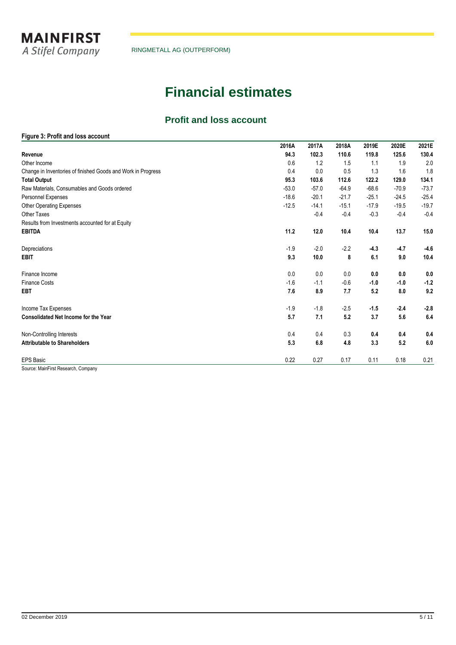

## **Financial estimates**

## **Profit and loss account**

## **Figure 3: Profit and loss account**

|                                                              | 2016A   | 2017A   | 2018A   | 2019E   | 2020E   | 2021E   |
|--------------------------------------------------------------|---------|---------|---------|---------|---------|---------|
| Revenue                                                      | 94.3    | 102.3   | 110.6   | 119.8   | 125.6   | 130.4   |
| Other Income                                                 | 0.6     | 1.2     | 1.5     | 1.1     | 1.9     | 2.0     |
| Change in Inventories of finished Goods and Work in Progress | 0.4     | 0.0     | 0.5     | 1.3     | 1.6     | 1.8     |
| <b>Total Output</b>                                          | 95.3    | 103.6   | 112.6   | 122.2   | 129.0   | 134.1   |
| Raw Materials, Consumables and Goods ordered                 | $-53.0$ | $-57.0$ | $-64.9$ | $-68.6$ | $-70.9$ | $-73.7$ |
| Personnel Expenses                                           | $-18.6$ | $-20.1$ | $-21.7$ | $-25.1$ | $-24.5$ | $-25.4$ |
| Other Operating Expenses                                     | $-12.5$ | $-14.1$ | $-15.1$ | $-17.9$ | $-19.5$ | $-19.7$ |
| <b>Other Taxes</b>                                           |         | $-0.4$  | $-0.4$  | $-0.3$  | $-0.4$  | $-0.4$  |
| Results from Investments accounted for at Equity             |         |         |         |         |         |         |
| <b>EBITDA</b>                                                | 11.2    | 12.0    | 10.4    | 10.4    | 13.7    | 15.0    |
| Depreciations                                                | $-1.9$  | $-2.0$  | $-2.2$  | $-4.3$  | $-4.7$  | $-4.6$  |
| <b>EBIT</b>                                                  | 9.3     | 10.0    | 8       | 6.1     | 9.0     | 10.4    |
| Finance Income                                               | 0.0     | 0.0     | 0.0     | 0.0     | 0.0     | 0.0     |
| <b>Finance Costs</b>                                         | $-1.6$  | $-1.1$  | $-0.6$  | $-1.0$  | $-1.0$  | $-1.2$  |
| <b>EBT</b>                                                   | 7.6     | 8.9     | 7.7     | 5.2     | 8.0     | 9.2     |
| Income Tax Expenses                                          | $-1.9$  | $-1.8$  | $-2.5$  | $-1.5$  | $-2.4$  | $-2.8$  |
| <b>Consolidated Net Income for the Year</b>                  | 5.7     | 7.1     | 5.2     | 3.7     | 5.6     | 6.4     |
| Non-Controlling Interests                                    | 0.4     | 0.4     | 0.3     | 0.4     | 0.4     | 0.4     |
| <b>Attributable to Shareholders</b>                          | 5.3     | 6.8     | 4.8     | 3.3     | 5.2     | 6.0     |
| <b>EPS Basic</b>                                             | 0.22    | 0.27    | 0.17    | 0.11    | 0.18    | 0.21    |

Source: MainFirst Research, Company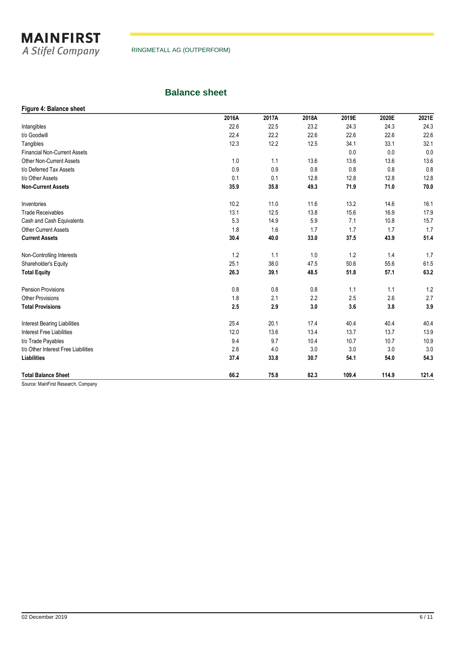

## **Balance sheet**

## **Figure 4: Balance sheet 2016A 2017A 2018A 2019E 2020E 2021E** Intangibles 22.6 22.5 23.2 24.3 24.3 24.3 t/o Goodwill 22.4 22.2 22.6 22.6 22.6 22.6 Tangibles 12.3 12.2 12.5 34.1 33.1 32.1 Financial Non-Current Assets 0.0 0.0 0.0 Other Non-Current Assets 1.0 1.1 13.6 13.6 13.6 13.6 t/o Deferred Tax Assets 0.9 0.9 0.8 0.8 0.8 0.8 t/o Other Assets 0.1 0.1 12.8 12.8 12.8 12.8 **Non-Current Assets 35.9 35.8 49.3 71.9 71.0 70.0** Inventories 10.2 11.0 11.6 13.2 14.6 16.1 Trade Receivables **13.1** 12.5 13.8 15.6 16.9 17.9 13.1 12.5 13.8 15.6 16.9 17.9 Cash and Cash Equivalents **5.3** 14.9 5.9 7.1 10.8 15.7 Other Current Assets 1.8 1.6 1.7 1.7 1.7 1.7 **Current Assets 30.4 40.0 33.0 37.5 43.9 51.4** Non-Controlling Interests 1.2 1.1 1.0 1.2 1.4 1.7 1.7 1.1 1.2 1.4 1.7 Shareholder's Equity **25.1** 38.0 47.5 50.6 55.6 61.5 **Total Equity 26.3 39.1 48.5 51.8 57.1 63.2** Pension Provisions 0.8 0.8 0.8 1.1 1.1 1.2 Other Provisions 1.8 2.1 2.2 2.5 2.6 2.7 **Total Provisions 2.5 2.9 3.0 3.6 3.8 3.9** Interest Bearing Liabilities 25.4 20.1 17.4 40.4 40.4 40.4 Interest Free Liabilities 13.9<br>
12.0 13.6 13.4 13.7 13.7 13.9<br>
12.0 13.6 13.4 13.7 13.7 13.9 t/o Trade Payables 9.4 9.7 10.4 10.7 10.7 10.9 t/o Other Interest Free Liabilities 2.6 4.0 3.0 3.0 3.0 3.0 **Liabilities 37.4 33.8 30.7 54.1 54.0 54.3 Total Balance Sheet 66.2 75.8 82.3 109.4 114.9 121.4**

Source: MainFirst Research, Company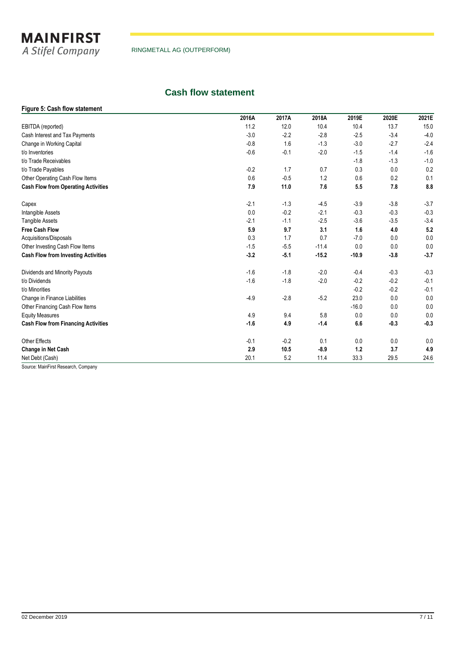

## **Cash flow statement**

## **Figure 5: Cash flow statement**

|                                            | 2016A  | 2017A  | 2018A   | 2019E   | 2020E  | 2021E  |
|--------------------------------------------|--------|--------|---------|---------|--------|--------|
| EBITDA (reported)                          | 11.2   | 12.0   | 10.4    | 10.4    | 13.7   | 15.0   |
| Cash Interest and Tax Payments             | $-3.0$ | $-2.2$ | $-2.8$  | $-2.5$  | $-3.4$ | $-4.0$ |
| Change in Working Capital                  | $-0.8$ | 1.6    | $-1.3$  | $-3.0$  | $-2.7$ | $-2.4$ |
| t/o Inventories                            | $-0.6$ | $-0.1$ | $-2.0$  | $-1.5$  | $-1.4$ | $-1.6$ |
| t/o Trade Receivables                      |        |        |         | $-1.8$  | $-1.3$ | $-1.0$ |
| t/o Trade Payables                         | $-0.2$ | 1.7    | 0.7     | 0.3     | 0.0    | 0.2    |
| Other Operating Cash Flow Items            | 0.6    | $-0.5$ | 1.2     | 0.6     | 0.2    | 0.1    |
| <b>Cash Flow from Operating Activities</b> | 7.9    | 11.0   | 7.6     | 5.5     | 7.8    | 8.8    |
| Capex                                      | $-2.1$ | $-1.3$ | $-4.5$  | $-3.9$  | $-3.8$ | $-3.7$ |
| Intangible Assets                          | 0.0    | $-0.2$ | $-2.1$  | $-0.3$  | $-0.3$ | $-0.3$ |
| <b>Tangible Assets</b>                     | $-2.1$ | $-1.1$ | $-2.5$  | $-3.6$  | $-3.5$ | $-3.4$ |
| <b>Free Cash Flow</b>                      | 5.9    | 9.7    | 3.1     | 1.6     | 4.0    | 5.2    |
| Acquisitions/Disposals                     | 0.3    | 1.7    | 0.7     | $-7.0$  | 0.0    | 0.0    |
| Other Investing Cash Flow Items            | $-1.5$ | $-5.5$ | $-11.4$ | 0.0     | 0.0    | 0.0    |
| <b>Cash Flow from Investing Activities</b> | $-3.2$ | $-5.1$ | $-15.2$ | $-10.9$ | $-3.8$ | $-3.7$ |
| Dividends and Minority Payouts             | $-1.6$ | $-1.8$ | $-2.0$  | $-0.4$  | $-0.3$ | $-0.3$ |
| t/o Dividends                              | $-1.6$ | $-1.8$ | $-2.0$  | $-0.2$  | $-0.2$ | $-0.1$ |
| t/o Minorities                             |        |        |         | $-0.2$  | $-0.2$ | $-0.1$ |
| Change in Finance Liabilities              | $-4.9$ | $-2.8$ | $-5.2$  | 23.0    | 0.0    | 0.0    |
| Other Financing Cash Flow Items            |        |        |         | $-16.0$ | 0.0    | 0.0    |
| <b>Equity Measures</b>                     | 4.9    | 9.4    | 5.8     | 0.0     | 0.0    | 0.0    |
| <b>Cash Flow from Financing Activities</b> | $-1.6$ | 4.9    | $-1.4$  | 6.6     | $-0.3$ | $-0.3$ |
| <b>Other Effects</b>                       | $-0.1$ | $-0.2$ | 0.1     | 0.0     | 0.0    | 0.0    |
| Change in Net Cash                         | 2.9    | 10.5   | $-8.9$  | 1.2     | 3.7    | 4.9    |
| Net Debt (Cash)                            | 20.1   | 5.2    | 11.4    | 33.3    | 29.5   | 24.6   |

Source: MainFirst Research, Company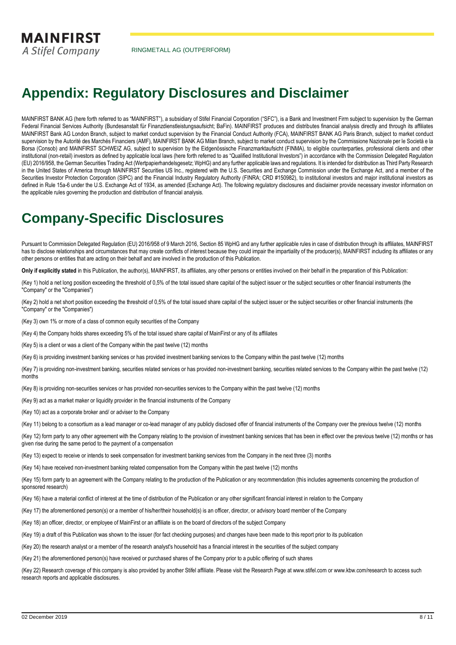**MAINFIRST** A Stifel Company

RINGMETALL AG (OUTPERFORM)

## **Appendix: Regulatory Disclosures and Disclaimer**

MAINFIRST BANK AG (here forth referred to as "MAINFIRST"), a subsidiary of Stifel Financial Corporation ("SFC"), is a Bank and Investment Firm subject to supervision by the German Federal Financial Services Authority (Bundesanstalt für Finanzdienstleistungsaufsicht; BaFin). MAINFIRST produces and distributes financial analysis directly and through its affiliates MAINFIRST Bank AG London Branch, subject to market conduct supervision by the Financial Conduct Authority (FCA), MAINFIRST BANK AG Paris Branch, subject to market conduct supervision by the Autorité des Marchés Financiers (AMF), MAINFIRST BANK AG Milan Branch, subject to market conduct supervision by the Commissione Nazionale per le Società e la Borsa (Consob) and MAINFIRST SCHWEIZ AG, subject to supervision by the Eidgenössische Finanzmarktaufsicht (FINMA), to eligible counterparties, professional clients and other institutional (non-retail) investors as defined by applicable local laws (here forth referred to as "Qualified Institutional Investors") in accordance with the Commission Delegated Regulation (EU) 2016/958, the German Securities Trading Act (Wertpapierhandelsgesetz; WpHG) and any further applicable laws and regulations. It is intended for distribution as Third Party Research in the United States of America through MAINFIRST Securities US Inc., registered with the U.S. Securities and Exchange Commission under the Exchange Act, and a member of the Securities Investor Protection Corporation (SIPC) and the Financial Industry Regulatory Authority (FINRA; CRD #150982), to institutional investors and major institutional investors as defined in Rule 15a-6 under the U.S. Exchange Act of 1934, as amended (Exchange Act). The following regulatory disclosures and disclaimer provide necessary investor information on the applicable rules governing the production and distribution of financial analysis.

## **Company-Specific Disclosures**

Pursuant to Commission Delegated Regulation (EU) 2016/958 of 9 March 2016, Section 85 WpHG and any further applicable rules in case of distribution through its affiliates, MAINFIRST has to disclose relationships and circumstances that may create conflicts of interest because they could impair the impartiality of the producer(s), MAINFIRST including its affiliates or any other persons or entities that are acting on their behalf and are involved in the production of this Publication.

**Only if explicitly stated** in this Publication, the author(s), MAINFIRST, its affiliates, any other persons or entities involved on their behalf in the preparation of this Publication:

(Key 1) hold a net long position exceeding the threshold of 0,5% of the total issued share capital of the subject issuer or the subject securities or other financial instruments (the "Company" or the "Companies")

(Key 2) hold a net short position exceeding the threshold of 0,5% of the total issued share capital of the subject issuer or the subject securities or other financial instruments (the "Company" or the "Companies")

(Key 3) own 1% or more of a class of common equity securities of the Company

(Key 4) the Company holds shares exceeding 5% of the total issued share capital of MainFirst or any of its affiliates

(Key 5) is a client or was a client of the Company within the past twelve (12) months

(Key 6) is providing investment banking services or has provided investment banking services to the Company within the past twelve (12) months

(Key 7) is providing non-investment banking, securities related services or has provided non-investment banking, securities related services to the Company within the past twelve (12) months

(Key 8) is providing non-securities services or has provided non-securities services to the Company within the past twelve (12) months

(Key 9) act as a market maker or liquidity provider in the financial instruments of the Company

(Key 10) act as a corporate broker and/ or adviser to the Company

(Key 11) belong to a consortium as a lead manager or co-lead manager of any publicly disclosed offer of financial instruments of the Company over the previous twelve (12) months

(Key 12) form party to any other agreement with the Company relating to the provision of investment banking services that has been in effect over the previous twelve (12) months or has given rise during the same period to the payment of a compensation

(Key 13) expect to receive or intends to seek compensation for investment banking services from the Company in the next three (3) months

(Key 14) have received non-investment banking related compensation from the Company within the past twelve (12) months

(Key 15) form party to an agreement with the Company relating to the production of the Publication or any recommendation (this includes agreements concerning the production of sponsored research)

(Key 16) have a material conflict of interest at the time of distribution of the Publication or any other significant financial interest in relation to the Company

(Key 17) the aforementioned person(s) or a member of his/her/their household(s) is an officer, director, or advisory board member of the Company

(Key 18) an officer, director, or employee of MainFirst or an affiliate is on the board of directors of the subject Company

(Key 19) a draft of this Publication was shown to the issuer (for fact checking purposes) and changes have been made to this report prior to its publication

(Key 20) the research analyst or a member of the research analyst's household has a financial interest in the securities of the subject company

(Key 21) the aforementioned person(s) have received or purchased shares of the Company prior to a public offering of such shares

(Key 22) Research coverage of this company is also provided by another Stifel affiliate. Please visit the Research Page at www.stifel.com or www.kbw.com/research to access such research reports and applicable disclosures.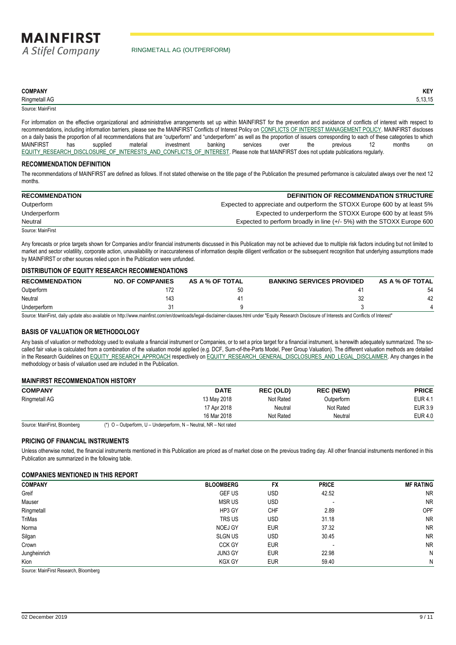#### **COMPANY KEY**

Ringmetall AG 5,13,15

Source: MainFirst

For information on the effective organizational and administrative arrangements set up within MAINFIRST for the prevention and avoidance of conflicts of interest with respect to recommendations, including information barriers, please see the MAINFIRST Conflicts of Interest Policy on [CONFLICTS OF INTEREST MANAGEMENT POLICY.](http://www.mainfirst.com/CONFLICTS_OF_INTEREST_MANAGEMENT_POLICY) MAINFIRST discloses on a daily basis the proportion of all recommendations that are "outperform" and "underperform" as well as the proportion of issuers corresponding to each of these categories to which MAINFIRST has supplied material investment banking services over the previous 12 months on [EQUITY\\_RESEARCH\\_DISCLOSURE\\_OF\\_INTERESTS\\_AND\\_CONFLICTS\\_OF\\_INTEREST.](http://www.mainfirst.com/EQUITY_RESEARCH_DISCLOSURE_OF_INTERESTS_AND_CONFLICTS_OF_INTEREST) Please note that MAINFIRST does not update publications regularly.

### **RECOMMENDATION DEFINITION**

The recommendations of MAINFIRST are defined as follows. If not stated otherwise on the title page of the Publication the presumed performance is calculated always over the next 12 months.

| <b>RECOMMENDATION</b> | <b>DEFINITION OF RECOMMENDATION STRUCTURE</b>                             |
|-----------------------|---------------------------------------------------------------------------|
| Outperform            | Expected to appreciate and outperform the STOXX Europe 600 by at least 5% |
| Underperform          | Expected to underperform the STOXX Europe 600 by at least 5%              |
| Neutral               | Expected to perform broadly in line (+/- 5%) with the STOXX Europe 600    |
| Source: MainFirst     |                                                                           |

Any forecasts or price targets shown for Companies and/or financial instruments discussed in this Publication may not be achieved due to multiple risk factors including but not limited to market and sector volatility, corporate action, unavailability or inaccurateness of information despite diligent verification or the subsequent recognition that underlying assumptions made by MAINFIRST or other sources relied upon in the Publication were unfunded.

#### **DISTRIBUTION OF EQUITY RESEARCH RECOMMENDATIONS**

| <b>RECOMMENDATION</b> | <b>NO. OF COMPANIES</b> | AS A % OF TOTAL | <b>BANKING SERVICES PROVIDED</b> | AS A % OF TOTAL |
|-----------------------|-------------------------|-----------------|----------------------------------|-----------------|
| Outperform            |                         | 50              |                                  | 54              |
| Neutral               | 143                     |                 |                                  | 42              |
| Underperform          |                         |                 |                                  |                 |

Source: MainFirst, daily update also available on http://www.mainfirst.com/en/downloads/legal-disclaimer-clauses.html under "Equity Research Disclosure of Interests and Conflicts of Interest"

### **BASIS OF VALUATION OR METHODOLOGY**

Any basis of valuation or methodology used to evaluate a financial instrument or Companies, or to set a price target for a financial instrument, is herewith adequately summarized. The socalled fair value is calculated from a combination of the valuation model applied (e.g. DCF, Sum-of-the-Parts Model, Peer Group Valuation). The different valuation methods are detailed in the Research Guidelines on [EQUITY\\_RESEARCH\\_APPROACH](http://www.mainfirst.com/EQUITY_RESEARCH_APPROACH) respectively o[n EQUITY\\_RESEARCH\\_GENERAL\\_DISCLOSURES\\_AND\\_LEGAL\\_DISCLAIMER.](http://www.mainfirst.com/EQUITY_RESEARCH_GENERAL_DISCLOSURES_AND_LEGAL_DISCLAIMER) Any changes in the methodology or basis of valuation used are included in the Publication.

#### **MAINFIRST RECOMMENDATION HISTORY**

| <b>COMPANY</b> | <b>DATE</b> | <b>REC (OLD)</b> | <b>REC (NEW)</b> | <b>PRICE</b>   |
|----------------|-------------|------------------|------------------|----------------|
| Ringmetall AG  | 13 May 2018 | Not Rated        | Outperform       | <b>EUR 4.1</b> |
|                | 17 Apr 2018 | Neutral          | Not Rated        | EUR 3.9        |
|                | 16 Mar 2018 | Not Rated        | Neutral          | EUR 4.0        |

Source: MainFirst, Bloomberg (\*) O – Outperform, U – Underperform, N – Neutral, NR – Not rated

### **PRICING OF FINANCIAL INSTRUMENTS**

Unless otherwise noted, the financial instruments mentioned in this Publication are priced as of market close on the previous trading day. All other financial instruments mentioned in this Publication are summarized in the following table.

#### **COMPANIES MENTIONED IN THIS REPORT**

| <b>COMPANY</b> | <b>BLOOMBERG</b> | <b>FX</b>  | <b>PRICE</b>             | <b>MF RATING</b> |
|----------------|------------------|------------|--------------------------|------------------|
| Greif          | <b>GEF US</b>    | USD        | 42.52                    | <b>NR</b>        |
| Mauser         | <b>MSRUS</b>     | <b>USD</b> | $\overline{\phantom{a}}$ | <b>NR</b>        |
| Ringmetall     | HP3 GY           | <b>CHF</b> | 2.89                     | OPF              |
| TriMas         | TRS US           | USD        | 31.18                    | <b>NR</b>        |
| Norma          | NOEJ GY          | <b>EUR</b> | 37.32                    | <b>NR</b>        |
| Silgan         | <b>SLGN US</b>   | <b>USD</b> | 30.45                    | <b>NR</b>        |
| Crown          | <b>CCK GY</b>    | <b>EUR</b> | $\overline{\phantom{a}}$ | <b>NR</b>        |
| Jungheinrich   | JUN3 GY          | <b>EUR</b> | 22.98                    | N                |
| Kion           | <b>KGX GY</b>    | <b>EUR</b> | 59.40                    | N                |

Source: MainFirst Research, Bloomberg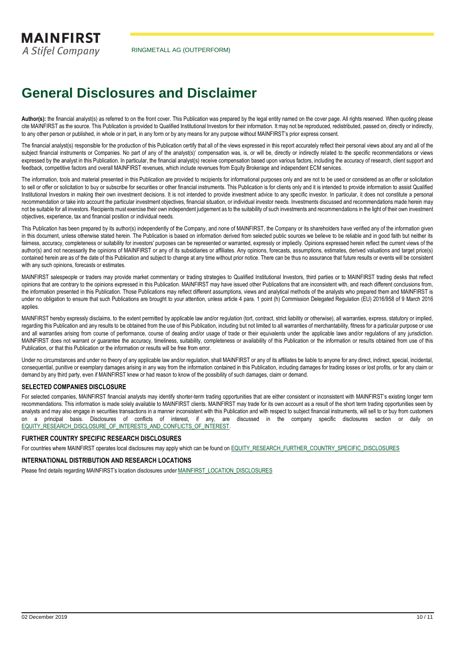## **General Disclosures and Disclaimer**

Author(s): the financial analyst(s) as referred to on the front cover. This Publication was prepared by the legal entity named on the cover page. All rights reserved. When quoting please cite MAINFIRST as the source. This Publication is provided to Qualified Institutional Investors for their information. It may not be reproduced, redistributed, passed on, directly or indirectly, to any other person or published, in whole or in part, in any form or by any means for any purpose without MAINFIRST's prior express consent.

The financial analyst(s) responsible for the production of this Publication certify that all of the views expressed in this report accurately reflect their personal views about any and all of the subject financial instruments or Companies. No part of any of the analyst(s)' compensation was, is, or will be, directly or indirectly related to the specific recommendations or views expressed by the analyst in this Publication. In particular, the financial analyst(s) receive compensation based upon various factors, including the accuracy of research, client support and feedback, competitive factors and overall MAINFIRST revenues, which include revenues from Equity Brokerage and independent ECM services.

The information, tools and material presented in this Publication are provided to recipients for informational purposes only and are not to be used or considered as an offer or solicitation to sell or offer or solicitation to buy or subscribe for securities or other financial instruments. This Publication is for clients only and it is intended to provide information to assist Qualified Institutional Investors in making their own investment decisions. It is not intended to provide investment advice to any specific investor. In particular, it does not constitute a personal recommendation or take into account the particular investment objectives, financial situation, or individual investor needs. Investments discussed and recommendations made herein may not be suitable for all investors. Recipients must exercise their own independent judgement as to the suitability of such investments and recommendations in the light of their own investment objectives, experience, tax and financial position or individual needs.

This Publication has been prepared by its author(s) independently of the Company, and none of MAINFIRST, the Company or its shareholders have verified any of the information given in this document, unless otherwise stated herein. The Publication is based on information derived from selected public sources we believe to be reliable and in good faith but neither its fairness, accuracy, completeness or suitability for investors' purposes can be represented or warranted, expressly or impliedly. Opinions expressed herein reflect the current views of the author(s) and not necessarily the opinions of MAINFIRST or any of its subsidiaries or affiliates. Any opinions, forecasts, assumptions, estimates, derived valuations and target price(s) contained herein are as of the date of this Publication and subject to change at any time without prior notice. There can be thus no assurance that future results or events will be consistent with any such opinions, forecasts or estimates.

MAINFIRST salespeople or traders may provide market commentary or trading strategies to Qualified Institutional Investors, third parties or to MAINFIRST trading desks that reflect opinions that are contrary to the opinions expressed in this Publication. MAINFIRST may have issued other Publications that are inconsistent with, and reach different conclusions from, the information presented in this Publication. Those Publications may reflect different assumptions, views and analytical methods of the analysts who prepared them and MAINFIRST is under no obligation to ensure that such Publications are brought to your attention, unless article 4 para. 1 point (h) Commission Delegated Regulation (EU) 2016/958 of 9 March 2016 applies.

MAINFIRST hereby expressly disclaims, to the extent permitted by applicable law and/or regulation (tort, contract, strict liability or otherwise), all warranties, express, statutory or implied. regarding this Publication and any results to be obtained from the use of this Publication, including but not limited to all warranties of merchantability, fitness for a particular purpose or use and all warranties arising from course of performance, course of dealing and/or usage of trade or their equivalents under the applicable laws and/or regulations of any jurisdiction. MAINFIRST does not warrant or quarantee the accuracy, timeliness, suitability, completeness or availability of this Publication or the information or results obtained from use of this Publication, or that this Publication or the information or results will be free from error.

Under no circumstances and under no theory of any applicable law and/or regulation, shall MAINFIRST or any of its affiliates be liable to anyone for any direct, indirect, special, incidental consequential, punitive or exemplary damages arising in any way from the information contained in this Publication, including damages for trading losses or lost profits, or for any claim or demand by any third party, even if MAINFIRST knew or had reason to know of the possibility of such damages, claim or demand.

### **SELECTED COMPANIES DISCLOSURE**

For selected companies, MAINFIRST financial analysts may identify shorter-term trading opportunities that are either consistent or inconsistent with MAINFIRST's existing longer term recommendations. This information is made solely available to MAINFIRST clients. MAINFIRST may trade for its own account as a result of the short term trading opportunities seen by analysts and may also engage in securities transactions in a manner inconsistent with this Publication and with respect to subject financial instruments, will sell to or buy from customers on a principal basis. Disclosures of conflicts of interest, if any, are discussed in the company specific disclosures section or daily on [EQUITY\\_RESEARCH\\_DISCLOSURE\\_OF\\_INTERESTS\\_AND\\_CONFLICTS\\_OF\\_INTEREST.](http://www.mainfirst.com/EQUITY_RESEARCH_DISCLOSURE_OF_INTERESTS_AND_CONFLICTS_OF_INTEREST)

### **FURTHER COUNTRY SPECIFIC RESEARCH DISCLOSURES**

For countries where MAINFIRST operates local disclosures may apply which can be found on [EQUITY\\_RESEARCH\\_FURTHER\\_COUNTRY\\_SPECIFIC\\_DISCLOSURES](http://www.mainfirst.com/EQUITY_RESEARCH_FURTHER_COUNTRY_SPECIFIC_DISCLOSURES)

### **INTERNATIONAL DISTRIBUTION AND RESEARCH LOCATIONS**

Please find details regarding MAINFIRST's location disclosures under [MAINFIRST\\_LOCATION\\_DISCLOSURES](http://www.mainfirst.com/MAINFIRST_LOCATION_DISCLOSURES)